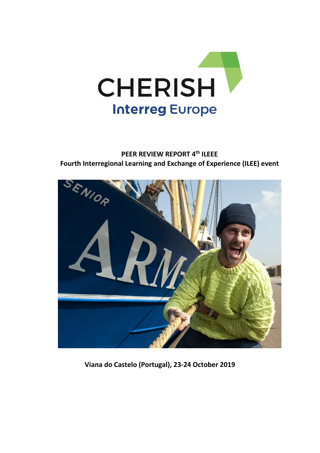

# **PEER REVIEW REPORT 4 th ILEEE Fourth Interregional Learning and Exchange of Experience (ILEE) event**



**Viana do Castelo (Portugal), 23-24 October 2019**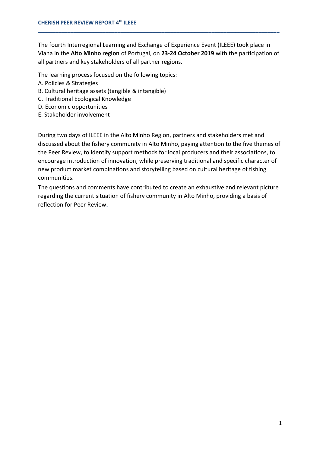The fourth Interregional Learning and Exchange of Experience Event (ILEEE) took place in Viana in the **Alto Minho region** of Portugal, on **23-24 October 2019** with the participation of all partners and key stakeholders of all partner regions.

**\_\_\_\_\_\_\_\_\_\_\_\_\_\_\_\_\_\_\_\_\_\_\_\_\_\_\_\_\_\_\_\_\_\_\_\_\_\_\_\_\_\_\_\_\_\_\_\_\_\_\_\_\_\_\_\_\_\_\_\_\_\_\_\_\_\_\_\_\_\_\_\_\_\_\_\_\_\_\_\_\_\_**

The learning process focused on the following topics:

- A. Policies & Strategies
- B. Cultural heritage assets (tangible & intangible)
- C. Traditional Ecological Knowledge
- D. Economic opportunities
- E. Stakeholder involvement

During two days of ILEEE in the Alto Minho Region, partners and stakeholders met and discussed about the fishery community in Alto Minho, paying attention to the five themes of the Peer Review, to identify support methods for local producers and their associations, to encourage introduction of innovation, while preserving traditional and specific character of new product market combinations and storytelling based on cultural heritage of fishing communities.

The questions and comments have contributed to create an exhaustive and relevant picture regarding the current situation of fishery community in Alto Minho, providing a basis of reflection for Peer Review**.**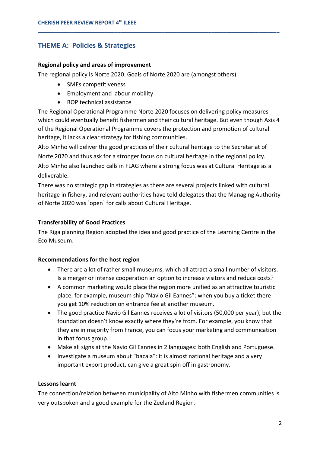# **THEME A: Policies & Strategies**

### **Regional policy and areas of improvement**

The regional policy is Norte 2020. Goals of Norte 2020 are (amongst others):

- SMEs competitiveness
- Employment and labour mobility
- ROP technical assistance

The Regional Operational Programme Norte 2020 focuses on delivering policy measures which could eventually benefit fishermen and their cultural heritage. But even though Axis 4 of the Regional Operational Programme covers the protection and promotion of cultural heritage, it lacks a clear strategy for fishing communities.

**\_\_\_\_\_\_\_\_\_\_\_\_\_\_\_\_\_\_\_\_\_\_\_\_\_\_\_\_\_\_\_\_\_\_\_\_\_\_\_\_\_\_\_\_\_\_\_\_\_\_\_\_\_\_\_\_\_\_\_\_\_\_\_\_\_\_\_\_\_\_\_\_\_\_\_\_\_\_\_\_\_\_**

Alto Minho will deliver the good practices of their cultural heritage to the Secretariat of Norte 2020 and thus ask for a stronger focus on cultural heritage in the regional policy. Alto Minho also launched calls in FLAG where a strong focus was at Cultural Heritage as a deliverable.

There was no strategic gap in strategies as there are several projects linked with cultural heritage in fishery, and relevant authorities have told delegates that the Managing Authority of Norte 2020 was `open` for calls about Cultural Heritage.

# **Transferability of Good Practices**

The Riga planning Region adopted the idea and good practice of the Learning Centre in the Eco Museum.

# **Recommendations for the host region**

- There are a lot of rather small museums, which all attract a small number of visitors. Is a merger or intense cooperation an option to increase visitors and reduce costs?
- A common marketing would place the region more unified as an attractive touristic place, for example, museum ship "Navio Gil Eannes": when you buy a ticket there you get 10% reduction on entrance fee at another museum.
- The good practice Navio Gil Eannes receives a lot of visitors (50,000 per year), but the foundation doesn't know exactly where they're from. For example, you know that they are in majority from France, you can focus your marketing and communication in that focus group.
- Make all signs at the Navio Gil Eannes in 2 languages: both English and Portuguese.
- Investigate a museum about "bacala": it is almost national heritage and a very important export product, can give a great spin off in gastronomy.

### **Lessons learnt**

The connection/relation between municipality of Alto Minho with fishermen communities is very outspoken and a good example for the Zeeland Region.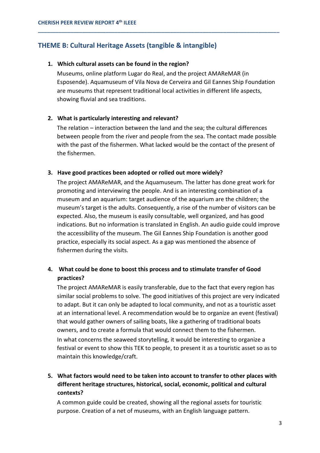# **THEME B: Cultural Heritage Assets (tangible & intangible)**

#### **1. Which cultural assets can be found in the region?**

Museums, online platform Lugar do Real, and the project AMAReMAR (in Esposende). Aquamuseum of Vila Nova de Cerveira and Gil Eannes Ship Foundation are museums that represent traditional local activities in different life aspects, showing fluvial and sea traditions.

**\_\_\_\_\_\_\_\_\_\_\_\_\_\_\_\_\_\_\_\_\_\_\_\_\_\_\_\_\_\_\_\_\_\_\_\_\_\_\_\_\_\_\_\_\_\_\_\_\_\_\_\_\_\_\_\_\_\_\_\_\_\_\_\_\_\_\_\_\_\_\_\_\_\_\_\_\_\_\_\_\_\_**

### **2. What is particularly interesting and relevant?**

The relation – interaction between the land and the sea; the cultural differences between people from the river and people from the sea. The contact made possible with the past of the fishermen. What lacked would be the contact of the present of the fishermen.

### **3. Have good practices been adopted or rolled out more widely?**

The project AMAReMAR, and the Aquamuseum. The latter has done great work for promoting and interviewing the people. And is an interesting combination of a museum and an aquarium: target audience of the aquarium are the children; the museum's target is the adults. Consequently, a rise of the number of visitors can be expected. Also, the museum is easily consultable, well organized, and has good indications. But no information is translated in English. An audio guide could improve the accessibility of the museum. The Gil Eannes Ship Foundation is another good practice, especially its social aspect. As a gap was mentioned the absence of fishermen during the visits.

# **4. What could be done to boost this process and to stimulate transfer of Good practices?**

The project AMAReMAR is easily transferable, due to the fact that every region has similar social problems to solve. The good initiatives of this project are very indicated to adapt. But it can only be adapted to local community, and not as a touristic asset at an international level. A recommendation would be to organize an event (festival) that would gather owners of sailing boats, like a gathering of traditional boats owners, and to create a formula that would connect them to the fishermen. In what concerns the seaweed storytelling, it would be interesting to organize a festival or event to show this TEK to people, to present it as a touristic asset so as to maintain this knowledge/craft.

# **5. What factors would need to be taken into account to transfer to other places with different heritage structures, historical, social, economic, political and cultural contexts?**

A common guide could be created, showing all the regional assets for touristic purpose. Creation of a net of museums, with an English language pattern.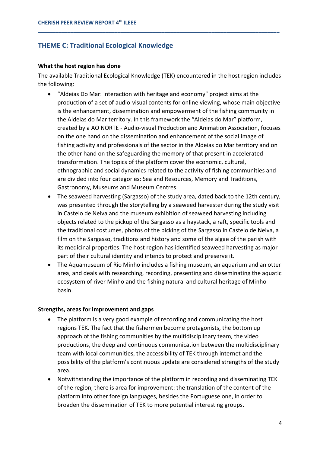# **THEME C: Traditional Ecological Knowledge**

### **What the host region has done**

The available Traditional Ecological Knowledge (TEK) encountered in the host region includes the following:

**\_\_\_\_\_\_\_\_\_\_\_\_\_\_\_\_\_\_\_\_\_\_\_\_\_\_\_\_\_\_\_\_\_\_\_\_\_\_\_\_\_\_\_\_\_\_\_\_\_\_\_\_\_\_\_\_\_\_\_\_\_\_\_\_\_\_\_\_\_\_\_\_\_\_\_\_\_\_\_\_\_\_**

- "Aldeias Do Mar: interaction with heritage and economy" project aims at the production of a set of audio-visual contents for online viewing, whose main objective is the enhancement, dissemination and empowerment of the fishing community in the Aldeias do Mar territory. In this framework the "Aldeias do Mar" platform, created by a AO NORTE - Audio-visual Production and Animation Association, focuses on the one hand on the dissemination and enhancement of the social image of fishing activity and professionals of the sector in the Aldeias do Mar territory and on the other hand on the safeguarding the memory of that present in accelerated transformation. The topics of the platform cover the economic, cultural, ethnographic and social dynamics related to the activity of fishing communities and are divided into four categories: Sea and Resources, Memory and Traditions, Gastronomy, Museums and Museum Centres.
- The seaweed harvesting (Sargasso) of the study area, dated back to the 12th century, was presented through the storytelling by a seaweed harvester during the study visit in Castelo de Neiva and the museum exhibition of seaweed harvesting including objects related to the pickup of the Sargasso as a haystack, a raft, specific tools and the traditional costumes, photos of the picking of the Sargasso in Castelo de Neiva, a film on the Sargasso, traditions and history and some of the algae of the parish with its medicinal properties. The host region has identified seaweed harvesting as major part of their cultural identity and intends to protect and preserve it.
- The Aquamuseum of Rio Minho includes a fishing museum, an aquarium and an otter area, and deals with researching, recording, presenting and disseminating the aquatic ecosystem of river Minho and the fishing natural and cultural heritage of Minho basin.

# **Strengths, areas for improvement and gaps**

- The platform is a very good example of recording and communicating the host regions TEK. The fact that the fishermen become protagonists, the bottom up approach of the fishing communities by the multidisciplinary team, the video productions, the deep and continuous communication between the multidisciplinary team with local communities, the accessibility of TEK through internet and the possibility of the platform's continuous update are considered strengths of the study area.
- Notwithstanding the importance of the platform in recording and disseminating TEK of the region, there is area for improvement: the translation of the content of the platform into other foreign languages, besides the Portuguese one, in order to broaden the dissemination of TEK to more potential interesting groups.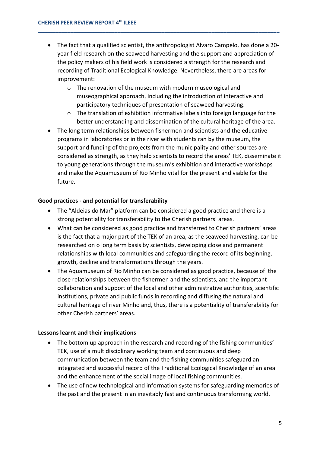• The fact that a qualified scientist, the anthropologist Alvaro Campelo, has done a 20 year field research on the seaweed harvesting and the support and appreciation of the policy makers of his field work is considered a strength for the research and recording of Traditional Ecological Knowledge. Nevertheless, there are areas for improvement:

**\_\_\_\_\_\_\_\_\_\_\_\_\_\_\_\_\_\_\_\_\_\_\_\_\_\_\_\_\_\_\_\_\_\_\_\_\_\_\_\_\_\_\_\_\_\_\_\_\_\_\_\_\_\_\_\_\_\_\_\_\_\_\_\_\_\_\_\_\_\_\_\_\_\_\_\_\_\_\_\_\_\_**

- o The renovation of the museum with modern museological and museographical approach, including the introduction of interactive and participatory techniques of presentation of seaweed harvesting.
- o The translation of exhibition informative labels into foreign language for the better understanding and dissemination of the cultural heritage of the area.
- The long term relationships between fishermen and scientists and the educative programs in laboratories or in the river with students ran by the museum, the support and funding of the projects from the municipality and other sources are considered as strength, as they help scientists to record the areas' TEK, disseminate it to young generations through the museum's exhibition and interactive workshops and make the Aquamuseum of Rio Minho vital for the present and viable for the future.

## **Good practices - and potential for transferability**

- The "Aldeias do Mar" platform can be considered a good practice and there is a strong potentiality for transferability to the Cherish partners' areas.
- What can be considered as good practice and transferred to Cherish partners' areas is the fact that a major part of the TEK of an area, as the seaweed harvesting, can be researched on o long term basis by scientists, developing close and permanent relationships with local communities and safeguarding the record of its beginning, growth, decline and transformations through the years.
- The Aquamuseum of Rio Minho can be considered as good practice, because of the close relationships between the fishermen and the scientists, and the important collaboration and support of the local and other administrative authorities, scientific institutions, private and public funds in recording and diffusing the natural and cultural heritage of river Minho and, thus, there is a potentiality of transferability for other Cherish partners' areas.

### **Lessons learnt and their implications**

- The bottom up approach in the research and recording of the fishing communities' TEK, use of a multidisciplinary working team and continuous and deep communication between the team and the fishing communities safeguard an integrated and successful record of the Traditional Ecological Knowledge of an area and the enhancement of the social image of local fishing communities.
- The use of new technological and information systems for safeguarding memories of the past and the present in an inevitably fast and continuous transforming world.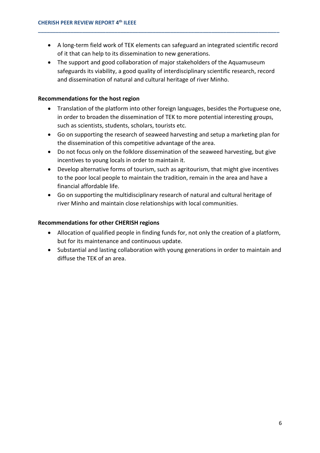• A long-term field work of TEK elements can safeguard an integrated scientific record of it that can help to its dissemination to new generations.

**\_\_\_\_\_\_\_\_\_\_\_\_\_\_\_\_\_\_\_\_\_\_\_\_\_\_\_\_\_\_\_\_\_\_\_\_\_\_\_\_\_\_\_\_\_\_\_\_\_\_\_\_\_\_\_\_\_\_\_\_\_\_\_\_\_\_\_\_\_\_\_\_\_\_\_\_\_\_\_\_\_\_**

• The support and good collaboration of major stakeholders of the Aquamuseum safeguards its viability, a good quality of interdisciplinary scientific research, record and dissemination of natural and cultural heritage of river Minho.

# **Recommendations for the host region**

- Translation of the platform into other foreign languages, besides the Portuguese one, in order to broaden the dissemination of TEK to more potential interesting groups, such as scientists, students, scholars, tourists etc.
- Go on supporting the research of seaweed harvesting and setup a marketing plan for the dissemination of this competitive advantage of the area.
- Do not focus only on the folklore dissemination of the seaweed harvesting, but give incentives to young locals in order to maintain it.
- Develop alternative forms of tourism, such as agritourism, that might give incentives to the poor local people to maintain the tradition, remain in the area and have a financial affordable life.
- Go on supporting the multidisciplinary research of natural and cultural heritage of river Minho and maintain close relationships with local communities.

## **Recommendations for other CHERISH regions**

- Allocation of qualified people in finding funds for, not only the creation of a platform, but for its maintenance and continuous update.
- Substantial and lasting collaboration with young generations in order to maintain and diffuse the TEK of an area.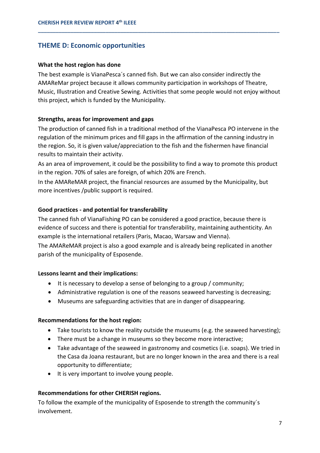# **THEME D: Economic opportunities**

### **What the host region has done**

The best example is VianaPesca´s canned fish. But we can also consider indirectly the AMAReMar project because it allows community participation in workshops of Theatre, Music, Illustration and Creative Sewing. Activities that some people would not enjoy without this project, which is funded by the Municipality.

**\_\_\_\_\_\_\_\_\_\_\_\_\_\_\_\_\_\_\_\_\_\_\_\_\_\_\_\_\_\_\_\_\_\_\_\_\_\_\_\_\_\_\_\_\_\_\_\_\_\_\_\_\_\_\_\_\_\_\_\_\_\_\_\_\_\_\_\_\_\_\_\_\_\_\_\_\_\_\_\_\_\_**

## **Strengths, areas for improvement and gaps**

The production of canned fish in a traditional method of the VianaPesca PO intervene in the regulation of the minimum prices and fill gaps in the affirmation of the canning industry in the region. So, it is given value/appreciation to the fish and the fishermen have financial results to maintain their activity.

As an area of improvement, it could be the possibility to find a way to promote this product in the region. 70% of sales are foreign, of which 20% are French.

In the AMAReMAR project, the financial resources are assumed by the Municipality, but more incentives /public support is required.

## **Good practices - and potential for transferability**

The canned fish of VianaFishing PO can be considered a good practice, because there is evidence of success and there is potential for transferability, maintaining authenticity. An example is the international retailers (Paris, Macao, Warsaw and Vienna).

The AMAReMAR project is also a good example and is already being replicated in another parish of the municipality of Esposende.

### **Lessons learnt and their implications:**

- It is necessary to develop a sense of belonging to a group / community;
- Administrative regulation is one of the reasons seaweed harvesting is decreasing;
- Museums are safeguarding activities that are in danger of disappearing.

### **Recommendations for the host region:**

- Take tourists to know the reality outside the museums (e.g. the seaweed harvesting);
- There must be a change in museums so they become more interactive;
- Take advantage of the seaweed in gastronomy and cosmetics (i.e. soaps). We tried in the Casa da Joana restaurant, but are no longer known in the area and there is a real opportunity to differentiate;
- It is very important to involve young people.

### **Recommendations for other CHERISH regions.**

To follow the example of the municipality of Esposende to strength the community´s involvement.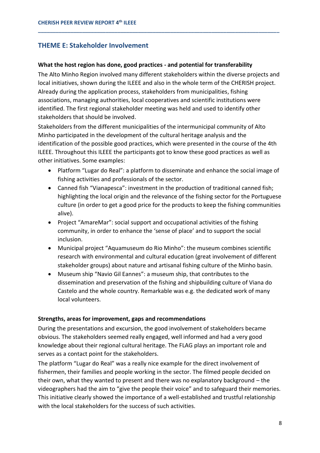# **THEME E: Stakeholder Involvement**

## **What the host region has done, good practices - and potential for transferability**

The Alto Minho Region involved many different stakeholders within the diverse projects and local initiatives, shown during the ILEEE and also in the whole term of the CHERISH project. Already during the application process, stakeholders from municipalities, fishing associations, managing authorities, local cooperatives and scientific institutions were identified. The first regional stakeholder meeting was held and used to identify other stakeholders that should be involved.

**\_\_\_\_\_\_\_\_\_\_\_\_\_\_\_\_\_\_\_\_\_\_\_\_\_\_\_\_\_\_\_\_\_\_\_\_\_\_\_\_\_\_\_\_\_\_\_\_\_\_\_\_\_\_\_\_\_\_\_\_\_\_\_\_\_\_\_\_\_\_\_\_\_\_\_\_\_\_\_\_\_\_**

Stakeholders from the different municipalities of the intermunicipal community of Alto Minho participated in the development of the cultural heritage analysis and the identification of the possible good practices, which were presented in the course of the 4th ILEEE. Throughout this ILEEE the participants got to know these good practices as well as other initiatives. Some examples:

- Platform "Lugar do Real": a platform to disseminate and enhance the social image of fishing activities and professionals of the sector.
- Canned fish "Vianapesca": investment in the production of traditional canned fish; highlighting the local origin and the relevance of the fishing sector for the Portuguese culture (in order to get a good price for the products to keep the fishing communities alive).
- Project "AmareMar": social support and occupational activities of the fishing community, in order to enhance the 'sense of place' and to support the social inclusion.
- Municipal project "Aquamuseum do Rio Minho": the museum combines scientific research with environmental and cultural education (great involvement of different stakeholder groups) about nature and artisanal fishing culture of the Minho basin.
- Museum ship "Navio Gil Eannes": a museum ship, that contributes to the dissemination and preservation of the fishing and shipbuilding culture of Viana do Castelo and the whole country. Remarkable was e.g. the dedicated work of many local volunteers.

### **Strengths, areas for improvement, gaps and recommendations**

During the presentations and excursion, the good involvement of stakeholders became obvious. The stakeholders seemed really engaged, well informed and had a very good knowledge about their regional cultural heritage. The FLAG plays an important role and serves as a contact point for the stakeholders.

The platform "Lugar do Real" was a really nice example for the direct involvement of fishermen, their families and people working in the sector. The filmed people decided on their own, what they wanted to present and there was no explanatory background – the videographers had the aim to "give the people their voice" and to safeguard their memories. This initiative clearly showed the importance of a well-established and trustful relationship with the local stakeholders for the success of such activities.